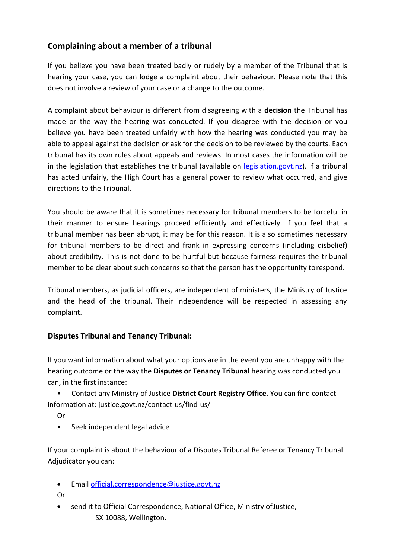# **Complaining about a member of a tribunal**

If you believe you have been treated badly or rudely by a member of the Tribunal that is hearing your case, you can lodge a complaint about their behaviour. Please note that this does not involve a review of your case or a change to the outcome.

A complaint about behaviour is different from disagreeing with a **decision** the Tribunal has made or the way the hearing was conducted. If you disagree with the decision or you believe you have been treated unfairly with how the hearing was conducted you may be able to appeal against the decision or ask for the decision to be reviewed by the courts. Each tribunal has its own rules about appeals and reviews. In most cases the information will be in the legislation that establishes the tribunal (available on [legislation.govt.nz\)](http://www.legislation.govt.nz/). If a tribunal has acted unfairly, the High Court has a general power to review what occurred, and give directions to the Tribunal.

You should be aware that it is sometimes necessary for tribunal members to be forceful in their manner to ensure hearings proceed efficiently and effectively. If you feel that a tribunal member has been abrupt, it may be for this reason. It is also sometimes necessary for tribunal members to be direct and frank in expressing concerns (including disbelief) about credibility. This is not done to be hurtful but because fairness requires the tribunal member to be clear about such concerns so that the person has the opportunity torespond.

Tribunal members, as judicial officers, are independent of ministers, the Ministry of Justice and the head of the tribunal. Their independence will be respected in assessing any complaint.

# **Disputes Tribunal and Tenancy Tribunal:**

If you want information about what your options are in the event you are unhappy with the hearing outcome or the way the **Disputes or Tenancy Tribunal** hearing was conducted you can, in the first instance:

• Contact any Ministry of Justice **District Court Registry Office**. You can find contact information at: justice.govt.nz/contact-us/find-us/

Or

• Seek independent legal advice

If your complaint is about the behaviour of a Disputes Tribunal Referee or Tenancy Tribunal Adjudicator you can:

• Email [official.correspondence@justice.govt.nz](mailto:official.correspondence@justice.govt.nz)

Or

send it to Official Correspondence, National Office, Ministry of Justice, SX 10088, Wellington.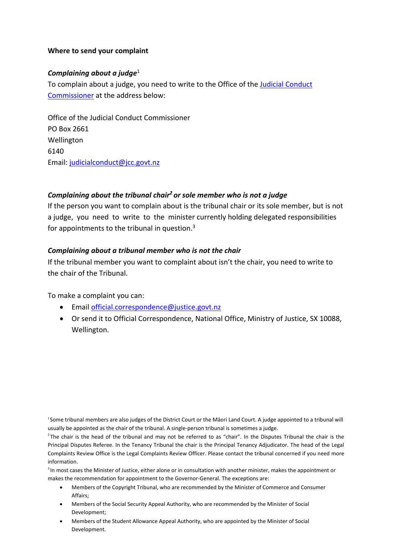#### **Where to send your complaint**

#### *Complaining about a judge*<sup>1</sup>

To complain about a judge, you need to write to the Office of the [Judicial Conduct](http://www.jcc.govt.nz/template.asp?folder=CONTACT_US) [Commissioner](http://www.jcc.govt.nz/template.asp?folder=CONTACT_US) at the address below:

Office of the Judicial Conduct Commissioner PO Box 2661 Wellington 6140 Email: [judicialconduct@jcc.govt.nz](mailto:judicialconduct@jcc.govt.nz)

## *Complaining about the tribunal chair<sup>2</sup>or sole member who is not a judge*

If the person you want to complain about is the tribunal chair or its sole member, but is not a judge, you need to write to the minister currently holding delegated responsibilities for appointments to the tribunal in question.<sup>3</sup>

#### *Complaining about a tribunal member who is not the chair*

If the tribunal member you want to complaint about isn't the chair, you need to write to the chair of the Tribunal.

To make a complaint you can:

- Email [official.correspondence@justice.govt.nz](mailto:official.correspondence@justice.govt.nz)
- Or send it to Official Correspondence, National Office, Ministry of Justice, SX 10088, Wellington.

<sup>1</sup>Some tribunal members are also judges of the District Court or the Māori Land Court. A judge appointed to a tribunal will usually be appointed as the chair of the tribunal. A single-person tribunal is sometimes a judge.

<sup>2</sup>The chair is the head of the tribunal and may not be referred to as "chair". In the Disputes Tribunal the chair is the Principal Disputes Referee. In the Tenancy Tribunal the chair is the Principal Tenancy Adjudicator. The head of the Legal Complaints Review Office is the Legal Complaints Review Officer. Please contact the tribunal concerned if you need more information.

<sup>3</sup> In most cases the Minister of Justice, either alone or in consultation with another minister, makes the appointment or makes the recommendation for appointment to the Governor-General. The exceptions are:

- Members of the Copyright Tribunal, who are recommended by the Minister of Commerce and Consumer Affairs;
- Members of the Social Security Appeal Authority, who are recommended by the Minister of Social Development;
- Members of the Student Allowance Appeal Authority, who are appointed by the Minister of Social Development.